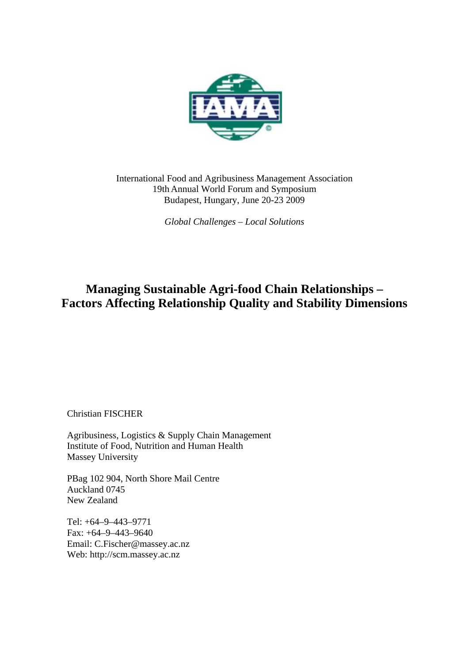

International Food and Agribusiness Management Association 19th Annual World Forum and Symposium Budapest, Hungary, June 20-23 2009

*Global Challenges – Local Solutions*

# **Managing Sustainable Agri-food Chain Relationships – Factors Affecting Relationship Quality and Stability Dimensions**

Christian FISCHER

Agribusiness, Logistics & Supply Chain Management Institute of Food, Nutrition and Human Health Massey University

PBag 102 904, North Shore Mail Centre Auckland 0745 New Zealand

Tel: +64–9–443–9771 Fax: +64–9–443–9640 Email: C.Fischer@massey.ac.nz Web: http://scm.massey.ac.nz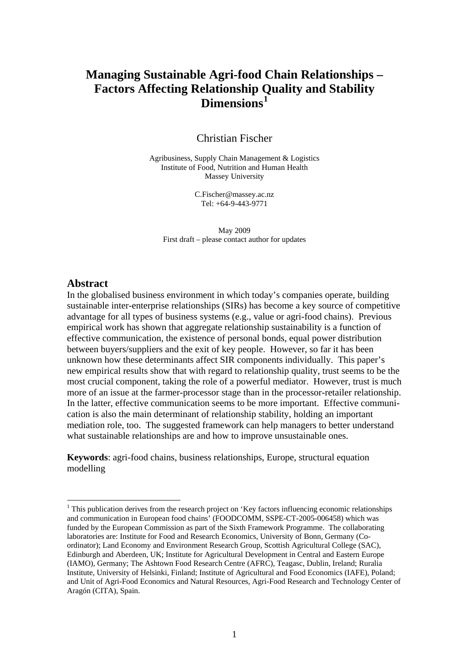## **Managing Sustainable Agri-food Chain Relationships – Factors Affecting Relationship [Q](#page-1-0)uality and Stability Dimensions[1](#page-1-0)**

Christian Fischer

Agribusiness, Supply Chain Management & Logistics Institute of Food, Nutrition and Human Health Massey University

> C.Fischer@massey.ac.nz Tel: +64-9-443-9771

May 2009 First draft – please contact author for updates

#### **Abstract**

<u>.</u>

In the globalised business environment in which today's companies operate, building sustainable inter-enterprise relationships (SIRs) has become a key source of competitive advantage for all types of business systems (e.g., value or agri-food chains). Previous empirical work has shown that aggregate relationship sustainability is a function of effective communication, the existence of personal bonds, equal power distribution between buyers/suppliers and the exit of key people. However, so far it has been unknown how these determinants affect SIR components individually. This paper's new empirical results show that with regard to relationship quality, trust seems to be the most crucial component, taking the role of a powerful mediator. However, trust is much more of an issue at the farmer-processor stage than in the processor-retailer relationship. In the latter, effective communication seems to be more important. Effective communication is also the main determinant of relationship stability, holding an important mediation role, too. The suggested framework can help managers to better understand what sustainable relationships are and how to improve unsustainable ones.

**Keywords**: agri-food chains, business relationships, Europe, structural equation modelling

<span id="page-1-0"></span><sup>&</sup>lt;sup>1</sup> This publication derives from the research project on 'Key factors influencing economic relationships and communication in European food chains' (FOODCOMM, SSPE-CT-2005-006458) which was funded by the European Commission as part of the Sixth Framework Programme. The collaborating laboratories are: Institute for Food and Research Economics, University of Bonn, Germany (Coordinator); Land Economy and Environment Research Group, Scottish Agricultural College (SAC), Edinburgh and Aberdeen, UK; Institute for Agricultural Development in Central and Eastern Europe (IAMO), Germany; The Ashtown Food Research Centre (AFRC), Teagasc, Dublin, Ireland; Ruralia Institute, University of Helsinki, Finland; Institute of Agricultural and Food Economics (IAFE), Poland; and Unit of Agri-Food Economics and Natural Resources, Agri-Food Research and Technology Center of Aragón (CITA), Spain.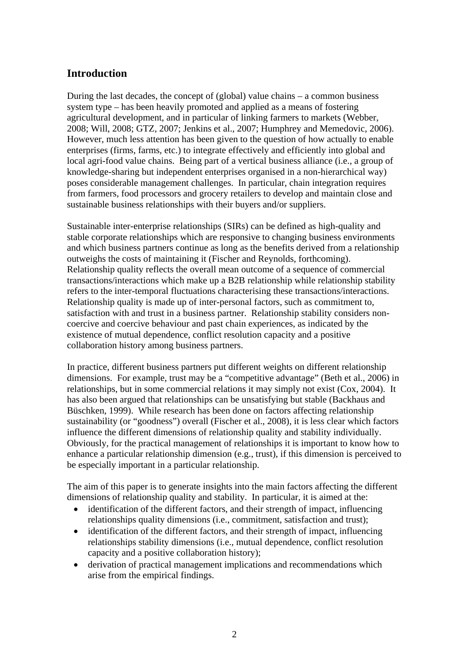### **Introduction**

During the last decades, the concept of (global) value chains – a common business system type – has been heavily promoted and applied as a means of fostering agricultural development, and in particular of linking farmers to markets (Webber, 2008; Will, 2008; GTZ, 2007; Jenkins et al., 2007; Humphrey and Memedovic, 2006). However, much less attention has been given to the question of how actually to enable enterprises (firms, farms, etc.) to integrate effectively and efficiently into global and local agri-food value chains. Being part of a vertical business alliance (i.e., a group of knowledge-sharing but independent enterprises organised in a non-hierarchical way) poses considerable management challenges. In particular, chain integration requires from farmers, food processors and grocery retailers to develop and maintain close and sustainable business relationships with their buyers and/or suppliers.

Sustainable inter-enterprise relationships (SIRs) can be defined as high-quality and stable corporate relationships which are responsive to changing business environments and which business partners continue as long as the benefits derived from a relationship outweighs the costs of maintaining it (Fischer and Reynolds, forthcoming). Relationship quality reflects the overall mean outcome of a sequence of commercial transactions/interactions which make up a B2B relationship while relationship stability refers to the inter-temporal fluctuations characterising these transactions/interactions. Relationship quality is made up of inter-personal factors, such as commitment to, satisfaction with and trust in a business partner. Relationship stability considers noncoercive and coercive behaviour and past chain experiences, as indicated by the existence of mutual dependence, conflict resolution capacity and a positive collaboration history among business partners.

In practice, different business partners put different weights on different relationship dimensions. For example, trust may be a "competitive advantage" (Beth et al., 2006) in relationships, but in some commercial relations it may simply not exist (Cox, 2004). It has also been argued that relationships can be unsatisfying but stable (Backhaus and Büschken, 1999). While research has been done on factors affecting relationship sustainability (or "goodness") overall (Fischer et al., 2008), it is less clear which factors influence the different dimensions of relationship quality and stability individually. Obviously, for the practical management of relationships it is important to know how to enhance a particular relationship dimension (e.g., trust), if this dimension is perceived to be especially important in a particular relationship.

The aim of this paper is to generate insights into the main factors affecting the different dimensions of relationship quality and stability. In particular, it is aimed at the:

- identification of the different factors, and their strength of impact, influencing relationships quality dimensions (i.e., commitment, satisfaction and trust);
- identification of the different factors, and their strength of impact, influencing relationships stability dimensions (i.e., mutual dependence, conflict resolution capacity and a positive collaboration history);
- derivation of practical management implications and recommendations which arise from the empirical findings.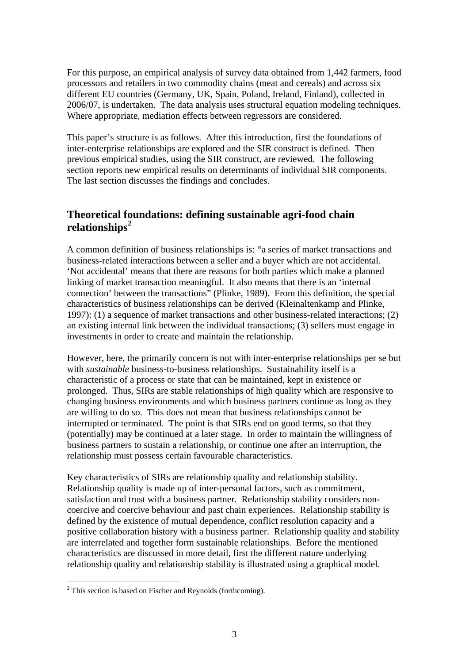For this purpose, an empirical analysis of survey data obtained from 1,442 farmers, food processors and retailers in two commodity chains (meat and cereals) and across six different EU countries (Germany, UK, Spain, Poland, Ireland, Finland), collected in 2006/07, is undertaken. The data analysis uses structural equation modeling techniques. Where appropriate, mediation effects between regressors are considered.

This paper's structure is as follows. After this introduction, first the foundations of inter-enterprise relationships are explored and the SIR construct is defined. Then previous empirical studies, using the SIR construct, are reviewed. The following section reports new empirical results on determinants of individual SIR components. The last section discusses the findings and concludes.

## **Theoretical f[ou](#page-3-0)ndations: defining sustainable agri-food chain relationships[2](#page-3-0)**

A common definition of business relationships is: "a series of market transactions and business-related interactions between a seller and a buyer which are not accidental. 'Not accidental' means that there are reasons for both parties which make a planned linking of market transaction meaningful. It also means that there is an 'internal connection' between the transactions" (Plinke, 1989). From this definition, the special characteristics of business relationships can be derived (Kleinaltenkamp and Plinke, 1997): (1) a sequence of market transactions and other business-related interactions; (2) an existing internal link between the individual transactions; (3) sellers must engage in investments in order to create and maintain the relationship.

However, here, the primarily concern is not with inter-enterprise relationships per se but with *sustainable* business-to-business relationships. Sustainability itself is a characteristic of a process or state that can be maintained, kept in existence or prolonged. Thus, SIRs are stable relationships of high quality which are responsive to changing business environments and which business partners continue as long as they are willing to do so. This does not mean that business relationships cannot be interrupted or terminated. The point is that SIRs end on good terms, so that they (potentially) may be continued at a later stage. In order to maintain the willingness of business partners to sustain a relationship, or continue one after an interruption, the relationship must possess certain favourable characteristics.

Key characteristics of SIRs are relationship quality and relationship stability. Relationship quality is made up of inter-personal factors, such as commitment, satisfaction and trust with a business partner. Relationship stability considers noncoercive and coercive behaviour and past chain experiences. Relationship stability is defined by the existence of mutual dependence, conflict resolution capacity and a positive collaboration history with a business partner. Relationship quality and stability are interrelated and together form sustainable relationships. Before the mentioned characteristics are discussed in more detail, first the different nature underlying relationship quality and relationship stability is illustrated using a graphical model.

1

<span id="page-3-0"></span> $2$  This section is based on Fischer and Reynolds (forthcoming).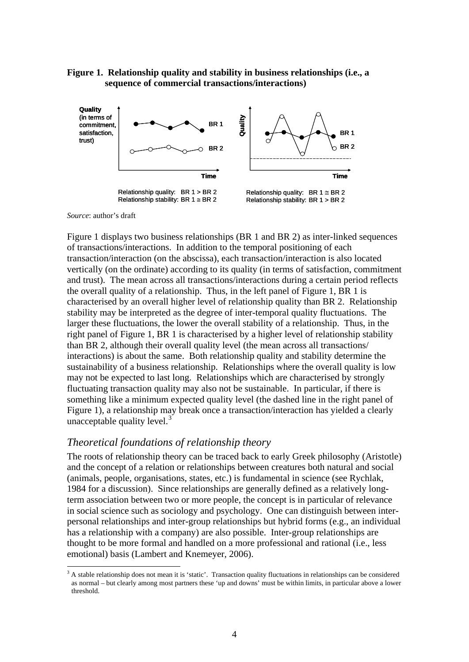### **Figure 1. Relationship quality and stability in business relationships (i.e., a sequence of commercial transactions/interactions)**



#### *Source*: author's draft

<u>.</u>

Figure 1 displays two business relationships (BR 1 and BR 2) as inter-linked sequences of transactions/interactions. In addition to the temporal positioning of each transaction/interaction (on the abscissa), each transaction/interaction is also located vertically (on the ordinate) according to its quality (in terms of satisfaction, commitment and trust). The mean across all transactions/interactions during a certain period reflects the overall quality of a relationship. Thus, in the left panel of Figure 1, BR 1 is characterised by an overall higher level of relationship quality than BR 2. Relationship stability may be interpreted as the degree of inter-temporal quality fluctuations. The larger these fluctuations, the lower the overall stability of a relationship. Thus, in the right panel of Figure 1, BR 1 is characterised by a higher level of relationship stability than BR 2, although their overall quality level (the mean across all transactions/ interactions) is about the same. Both relationship quality and stability determine the sustainability of a business relationship. Relationships where the overall quality is low may not be expected to last long. Relationships which are characterised by strongly fluctuating transaction quality may also not be sustainable. In particular, if there is something like a minimum expected quality level (the dashed line in the right panel of Figure 1), a relationship may break once a transaction/interaction has yielded a clearly unacceptable quality level. $3$ 

### *Theoretical foundations of relationship theory*

The roots of relationship theory can be traced back to early Greek philosophy (Aristotle) and the concept of a relation or relationships between creatures both natural and social (animals, people, organisations, states, etc.) is fundamental in science (see Rychlak, 1984 for a discussion). Since relationships are generally defined as a relatively longterm association between two or more people, the concept is in particular of relevance in social science such as sociology and psychology. One can distinguish between interpersonal relationships and inter-group relationships but hybrid forms (e.g., an individual has a relationship with a company) are also possible. Inter-group relationships are thought to be more formal and handled on a more professional and rational (i.e., less emotional) basis (Lambert and Knemeyer, 2006).

<span id="page-4-0"></span><sup>&</sup>lt;sup>3</sup> A stable relationship does not mean it is 'static'. Transaction quality fluctuations in relationships can be considered as normal – but clearly among most partners these 'up and downs' must be within limits, in particular above a lower threshold.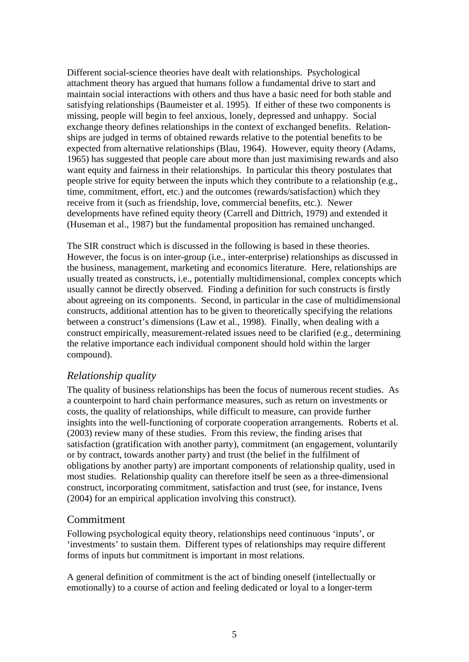Different social-science theories have dealt with relationships. Psychological attachment theory has argued that humans follow a fundamental drive to start and maintain social interactions with others and thus have a basic need for both stable and satisfying relationships (Baumeister et al. 1995). If either of these two components is missing, people will begin to feel anxious, lonely, depressed and unhappy. Social exchange theory defines relationships in the context of exchanged benefits. Relationships are judged in terms of obtained rewards relative to the potential benefits to be expected from alternative relationships (Blau, 1964). However, equity theory (Adams, 1965) has suggested that people care about more than just maximising rewards and also want equity and fairness in their relationships. In particular this theory postulates that people strive for equity between the inputs which they contribute to a relationship (e.g., time, commitment, effort, etc.) and the outcomes (rewards/satisfaction) which they receive from it (such as friendship, love, commercial benefits, etc.). Newer developments have refined equity theory (Carrell and Dittrich, 1979) and extended it (Huseman et al., 1987) but the fundamental proposition has remained unchanged.

The SIR construct which is discussed in the following is based in these theories. However, the focus is on inter-group (i.e., inter-enterprise) relationships as discussed in the business, management, marketing and economics literature. Here, relationships are usually treated as constructs, i.e., potentially multidimensional, complex concepts which usually cannot be directly observed. Finding a definition for such constructs is firstly about agreeing on its components. Second, in particular in the case of multidimensional constructs, additional attention has to be given to theoretically specifying the relations between a construct's dimensions (Law et al., 1998). Finally, when dealing with a construct empirically, measurement-related issues need to be clarified (e.g., determining the relative importance each individual component should hold within the larger compound).

### *Relationship quality*

The quality of business relationships has been the focus of numerous recent studies. As a counterpoint to hard chain performance measures, such as return on investments or costs, the quality of relationships, while difficult to measure, can provide further insights into the well-functioning of corporate cooperation arrangements. Roberts et al. (2003) review many of these studies. From this review, the finding arises that satisfaction (gratification with another party), commitment (an engagement, voluntarily or by contract, towards another party) and trust (the belief in the fulfilment of obligations by another party) are important components of relationship quality, used in most studies. Relationship quality can therefore itself be seen as a three-dimensional construct, incorporating commitment, satisfaction and trust (see, for instance, Ivens (2004) for an empirical application involving this construct).

### Commitment

Following psychological equity theory, relationships need continuous 'inputs', or 'investments' to sustain them. Different types of relationships may require different forms of inputs but commitment is important in most relations.

A general definition of commitment is the act of binding oneself (intellectually or emotionally) to a course of action and feeling dedicated or loyal to a longer-term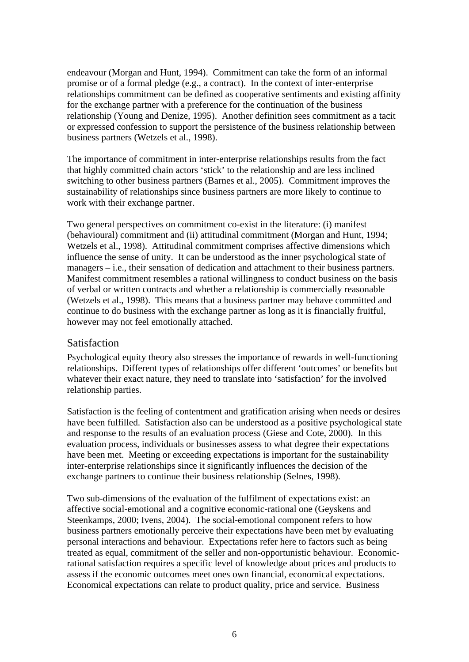endeavour (Morgan and Hunt, 1994). Commitment can take the form of an informal promise or of a formal pledge (e.g., a contract). In the context of inter-enterprise relationships commitment can be defined as cooperative sentiments and existing affinity for the exchange partner with a preference for the continuation of the business relationship (Young and Denize, 1995). Another definition sees commitment as a tacit or expressed confession to support the persistence of the business relationship between business partners (Wetzels et al., 1998).

The importance of commitment in inter-enterprise relationships results from the fact that highly committed chain actors 'stick' to the relationship and are less inclined switching to other business partners (Barnes et al., 2005). Commitment improves the sustainability of relationships since business partners are more likely to continue to work with their exchange partner.

Two general perspectives on commitment co-exist in the literature: (i) manifest (behavioural) commitment and (ii) attitudinal commitment (Morgan and Hunt, 1994; Wetzels et al., 1998). Attitudinal commitment comprises affective dimensions which influence the sense of unity. It can be understood as the inner psychological state of managers – i.e., their sensation of dedication and attachment to their business partners. Manifest commitment resembles a rational willingness to conduct business on the basis of verbal or written contracts and whether a relationship is commercially reasonable (Wetzels et al., 1998). This means that a business partner may behave committed and continue to do business with the exchange partner as long as it is financially fruitful, however may not feel emotionally attached.

### **Satisfaction**

Psychological equity theory also stresses the importance of rewards in well-functioning relationships. Different types of relationships offer different 'outcomes' or benefits but whatever their exact nature, they need to translate into 'satisfaction' for the involved relationship parties.

Satisfaction is the feeling of contentment and gratification arising when needs or desires have been fulfilled. Satisfaction also can be understood as a positive psychological state and response to the results of an evaluation process (Giese and Cote, 2000). In this evaluation process, individuals or businesses assess to what degree their expectations have been met. Meeting or exceeding expectations is important for the sustainability inter-enterprise relationships since it significantly influences the decision of the exchange partners to continue their business relationship (Selnes, 1998).

Two sub-dimensions of the evaluation of the fulfilment of expectations exist: an affective social-emotional and a cognitive economic-rational one (Geyskens and Steenkamps, 2000; Ivens, 2004). The social-emotional component refers to how business partners emotionally perceive their expectations have been met by evaluating personal interactions and behaviour. Expectations refer here to factors such as being treated as equal, commitment of the seller and non-opportunistic behaviour. Economicrational satisfaction requires a specific level of knowledge about prices and products to assess if the economic outcomes meet ones own financial, economical expectations. Economical expectations can relate to product quality, price and service. Business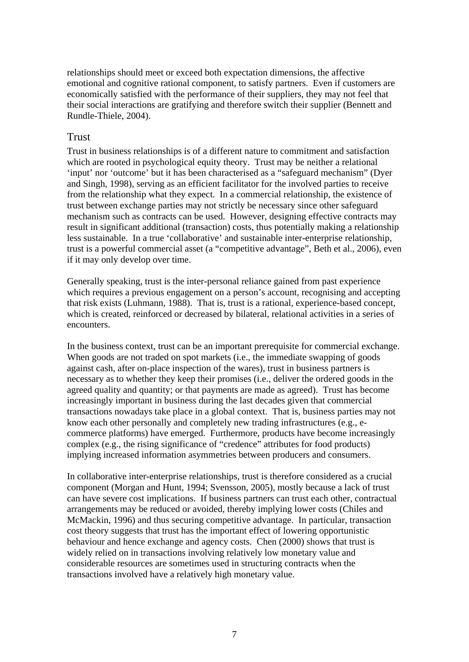relationships should meet or exceed both expectation dimensions, the affective emotional and cognitive rational component, to satisfy partners. Even if customers are economically satisfied with the performance of their suppliers, they may not feel that their social interactions are gratifying and therefore switch their supplier (Bennett and Rundle-Thiele, 2004).

### Trust

Trust in business relationships is of a different nature to commitment and satisfaction which are rooted in psychological equity theory. Trust may be neither a relational 'input' nor 'outcome' but it has been characterised as a "safeguard mechanism" (Dyer and Singh, 1998), serving as an efficient facilitator for the involved parties to receive from the relationship what they expect. In a commercial relationship, the existence of trust between exchange parties may not strictly be necessary since other safeguard mechanism such as contracts can be used. However, designing effective contracts may result in significant additional (transaction) costs, thus potentially making a relationship less sustainable. In a true 'collaborative' and sustainable inter-enterprise relationship, trust is a powerful commercial asset (a "competitive advantage", Beth et al., 2006), even if it may only develop over time.

Generally speaking, trust is the inter-personal reliance gained from past experience which requires a previous engagement on a person's account, recognising and accepting that risk exists (Luhmann, 1988). That is, trust is a rational, experience-based concept, which is created, reinforced or decreased by bilateral, relational activities in a series of encounters.

In the business context, trust can be an important prerequisite for commercial exchange. When goods are not traded on spot markets (*i.e.*, the immediate swapping of goods against cash, after on-place inspection of the wares), trust in business partners is necessary as to whether they keep their promises (i.e., deliver the ordered goods in the agreed quality and quantity; or that payments are made as agreed). Trust has become increasingly important in business during the last decades given that commercial transactions nowadays take place in a global context. That is, business parties may not know each other personally and completely new trading infrastructures (e.g., ecommerce platforms) have emerged. Furthermore, products have become increasingly complex (e.g., the rising significance of "credence" attributes for food products) implying increased information asymmetries between producers and consumers.

In collaborative inter-enterprise relationships, trust is therefore considered as a crucial component (Morgan and Hunt, 1994; Svensson, 2005), mostly because a lack of trust can have severe cost implications. If business partners can trust each other, contractual arrangements may be reduced or avoided, thereby implying lower costs (Chiles and McMackin, 1996) and thus securing competitive advantage. In particular, transaction cost theory suggests that trust has the important effect of lowering opportunistic behaviour and hence exchange and agency costs. Chen (2000) shows that trust is widely relied on in transactions involving relatively low monetary value and considerable resources are sometimes used in structuring contracts when the transactions involved have a relatively high monetary value.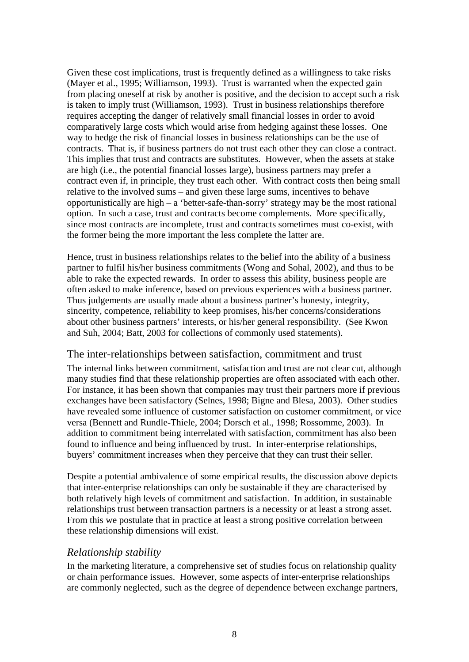Given these cost implications, trust is frequently defined as a willingness to take risks (Mayer et al., 1995; Williamson, 1993). Trust is warranted when the expected gain from placing oneself at risk by another is positive, and the decision to accept such a risk is taken to imply trust (Williamson, 1993). Trust in business relationships therefore requires accepting the danger of relatively small financial losses in order to avoid comparatively large costs which would arise from hedging against these losses. One way to hedge the risk of financial losses in business relationships can be the use of contracts. That is, if business partners do not trust each other they can close a contract. This implies that trust and contracts are substitutes. However, when the assets at stake are high (i.e., the potential financial losses large), business partners may prefer a contract even if, in principle, they trust each other. With contract costs then being small relative to the involved sums – and given these large sums, incentives to behave opportunistically are high – a 'better-safe-than-sorry' strategy may be the most rational option. In such a case, trust and contracts become complements. More specifically, since most contracts are incomplete, trust and contracts sometimes must co-exist, with the former being the more important the less complete the latter are.

Hence, trust in business relationships relates to the belief into the ability of a business partner to fulfil his/her business commitments (Wong and Sohal, 2002), and thus to be able to rake the expected rewards. In order to assess this ability, business people are often asked to make inference, based on previous experiences with a business partner. Thus judgements are usually made about a business partner's honesty, integrity, sincerity, competence, reliability to keep promises, his/her concerns/considerations about other business partners' interests, or his/her general responsibility. (See Kwon and Suh, 2004; Batt, 2003 for collections of commonly used statements).

### The inter-relationships between satisfaction, commitment and trust

The internal links between commitment, satisfaction and trust are not clear cut, although many studies find that these relationship properties are often associated with each other. For instance, it has been shown that companies may trust their partners more if previous exchanges have been satisfactory (Selnes, 1998; Bigne and Blesa, 2003). Other studies have revealed some influence of customer satisfaction on customer commitment, or vice versa (Bennett and Rundle-Thiele, 2004; Dorsch et al., 1998; Rossomme, 2003). In addition to commitment being interrelated with satisfaction, commitment has also been found to influence and being influenced by trust. In inter-enterprise relationships, buyers' commitment increases when they perceive that they can trust their seller.

Despite a potential ambivalence of some empirical results, the discussion above depicts that inter-enterprise relationships can only be sustainable if they are characterised by both relatively high levels of commitment and satisfaction. In addition, in sustainable relationships trust between transaction partners is a necessity or at least a strong asset. From this we postulate that in practice at least a strong positive correlation between these relationship dimensions will exist.

### *Relationship stability*

In the marketing literature, a comprehensive set of studies focus on relationship quality or chain performance issues. However, some aspects of inter-enterprise relationships are commonly neglected, such as the degree of dependence between exchange partners,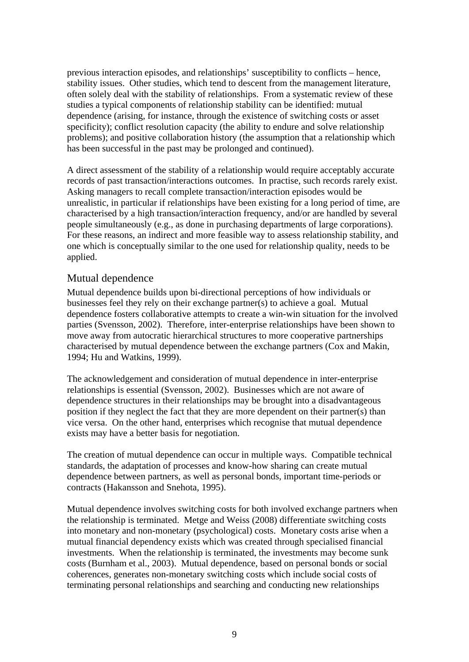previous interaction episodes, and relationships' susceptibility to conflicts – hence, stability issues. Other studies, which tend to descent from the management literature, often solely deal with the stability of relationships. From a systematic review of these studies a typical components of relationship stability can be identified: mutual dependence (arising, for instance, through the existence of switching costs or asset specificity); conflict resolution capacity (the ability to endure and solve relationship problems); and positive collaboration history (the assumption that a relationship which has been successful in the past may be prolonged and continued).

A direct assessment of the stability of a relationship would require acceptably accurate records of past transaction/interactions outcomes. In practise, such records rarely exist. Asking managers to recall complete transaction/interaction episodes would be unrealistic, in particular if relationships have been existing for a long period of time, are characterised by a high transaction/interaction frequency, and/or are handled by several people simultaneously (e.g., as done in purchasing departments of large corporations). For these reasons, an indirect and more feasible way to assess relationship stability, and one which is conceptually similar to the one used for relationship quality, needs to be applied.

### Mutual dependence

Mutual dependence builds upon bi-directional perceptions of how individuals or businesses feel they rely on their exchange partner(s) to achieve a goal. Mutual dependence fosters collaborative attempts to create a win-win situation for the involved parties (Svensson, 2002). Therefore, inter-enterprise relationships have been shown to move away from autocratic hierarchical structures to more cooperative partnerships characterised by mutual dependence between the exchange partners (Cox and Makin, 1994; Hu and Watkins, 1999).

The acknowledgement and consideration of mutual dependence in inter-enterprise relationships is essential (Svensson, 2002). Businesses which are not aware of dependence structures in their relationships may be brought into a disadvantageous position if they neglect the fact that they are more dependent on their partner(s) than vice versa. On the other hand, enterprises which recognise that mutual dependence exists may have a better basis for negotiation.

The creation of mutual dependence can occur in multiple ways. Compatible technical standards, the adaptation of processes and know-how sharing can create mutual dependence between partners, as well as personal bonds, important time-periods or contracts (Hakansson and Snehota, 1995).

Mutual dependence involves switching costs for both involved exchange partners when the relationship is terminated. Metge and Weiss (2008) differentiate switching costs into monetary and non-monetary (psychological) costs. Monetary costs arise when a mutual financial dependency exists which was created through specialised financial investments. When the relationship is terminated, the investments may become sunk costs (Burnham et al., 2003). Mutual dependence, based on personal bonds or social coherences, generates non-monetary switching costs which include social costs of terminating personal relationships and searching and conducting new relationships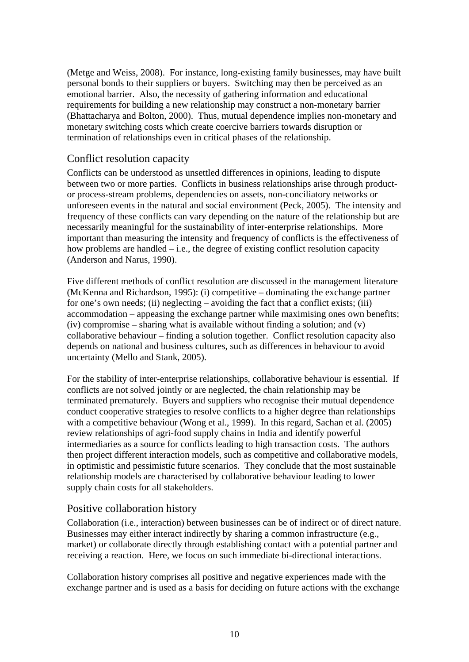(Metge and Weiss, 2008). For instance, long-existing family businesses, may have built personal bonds to their suppliers or buyers. Switching may then be perceived as an emotional barrier. Also, the necessity of gathering information and educational requirements for building a new relationship may construct a non-monetary barrier (Bhattacharya and Bolton, 2000). Thus, mutual dependence implies non-monetary and monetary switching costs which create coercive barriers towards disruption or termination of relationships even in critical phases of the relationship.

### Conflict resolution capacity

Conflicts can be understood as unsettled differences in opinions, leading to dispute between two or more parties. Conflicts in business relationships arise through productor process-stream problems, dependencies on assets, non-conciliatory networks or unforeseen events in the natural and social environment (Peck, 2005). The intensity and frequency of these conflicts can vary depending on the nature of the relationship but are necessarily meaningful for the sustainability of inter-enterprise relationships. More important than measuring the intensity and frequency of conflicts is the effectiveness of how problems are handled – i.e., the degree of existing conflict resolution capacity (Anderson and Narus, 1990).

Five different methods of conflict resolution are discussed in the management literature (McKenna and Richardson, 1995): (i) competitive – dominating the exchange partner for one's own needs; (ii) neglecting – avoiding the fact that a conflict exists; (iii) accommodation – appeasing the exchange partner while maximising ones own benefits; (iv) compromise – sharing what is available without finding a solution; and  $(v)$ collaborative behaviour – finding a solution together. Conflict resolution capacity also depends on national and business cultures, such as differences in behaviour to avoid uncertainty (Mello and Stank, 2005).

For the stability of inter-enterprise relationships, collaborative behaviour is essential. If conflicts are not solved jointly or are neglected, the chain relationship may be terminated prematurely. Buyers and suppliers who recognise their mutual dependence conduct cooperative strategies to resolve conflicts to a higher degree than relationships with a competitive behaviour (Wong et al., 1999). In this regard, Sachan et al. (2005) review relationships of agri-food supply chains in India and identify powerful intermediaries as a source for conflicts leading to high transaction costs. The authors then project different interaction models, such as competitive and collaborative models, in optimistic and pessimistic future scenarios. They conclude that the most sustainable relationship models are characterised by collaborative behaviour leading to lower supply chain costs for all stakeholders.

### Positive collaboration history

Collaboration (i.e., interaction) between businesses can be of indirect or of direct nature. Businesses may either interact indirectly by sharing a common infrastructure (e.g., market) or collaborate directly through establishing contact with a potential partner and receiving a reaction. Here, we focus on such immediate bi-directional interactions.

Collaboration history comprises all positive and negative experiences made with the exchange partner and is used as a basis for deciding on future actions with the exchange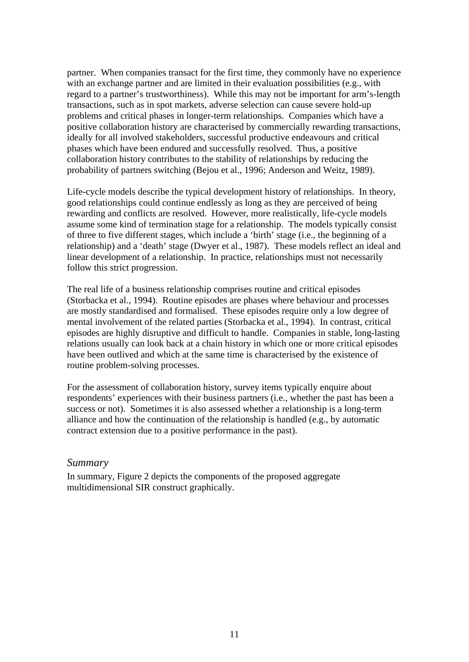partner. When companies transact for the first time, they commonly have no experience with an exchange partner and are limited in their evaluation possibilities (e.g., with regard to a partner's trustworthiness). While this may not be important for arm's-length transactions, such as in spot markets, adverse selection can cause severe hold-up problems and critical phases in longer-term relationships. Companies which have a positive collaboration history are characterised by commercially rewarding transactions, ideally for all involved stakeholders, successful productive endeavours and critical phases which have been endured and successfully resolved. Thus, a positive collaboration history contributes to the stability of relationships by reducing the probability of partners switching (Bejou et al., 1996; Anderson and Weitz, 1989).

Life-cycle models describe the typical development history of relationships. In theory, good relationships could continue endlessly as long as they are perceived of being rewarding and conflicts are resolved. However, more realistically, life-cycle models assume some kind of termination stage for a relationship. The models typically consist of three to five different stages, which include a 'birth' stage (i.e., the beginning of a relationship) and a 'death' stage (Dwyer et al., 1987). These models reflect an ideal and linear development of a relationship. In practice, relationships must not necessarily follow this strict progression.

The real life of a business relationship comprises routine and critical episodes (Storbacka et al., 1994). Routine episodes are phases where behaviour and processes are mostly standardised and formalised. These episodes require only a low degree of mental involvement of the related parties (Storbacka et al., 1994). In contrast, critical episodes are highly disruptive and difficult to handle. Companies in stable, long-lasting relations usually can look back at a chain history in which one or more critical episodes have been outlived and which at the same time is characterised by the existence of routine problem-solving processes.

For the assessment of collaboration history, survey items typically enquire about respondents' experiences with their business partners (i.e., whether the past has been a success or not). Sometimes it is also assessed whether a relationship is a long-term alliance and how the continuation of the relationship is handled (e.g., by automatic contract extension due to a positive performance in the past).

#### *Summary*

In summary, Figure 2 depicts the components of the proposed aggregate multidimensional SIR construct graphically.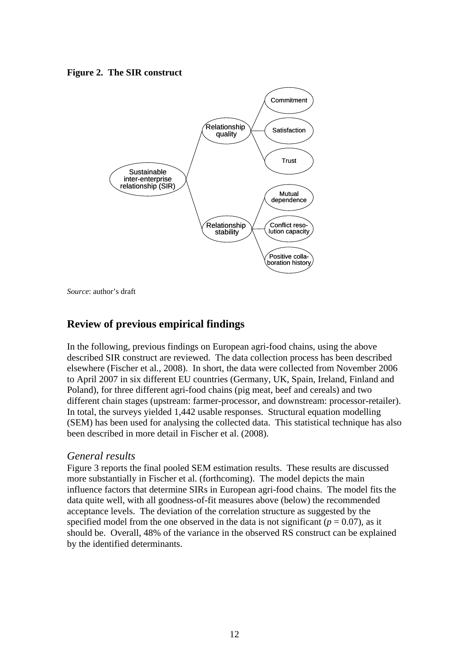**Figure 2. The SIR construct** 



*Source*: author's draft

### **Review of previous empirical findings**

In the following, previous findings on European agri-food chains, using the above described SIR construct are reviewed. The data collection process has been described elsewhere (Fischer et al., 2008). In short, the data were collected from November 2006 to April 2007 in six different EU countries (Germany, UK, Spain, Ireland, Finland and Poland), for three different agri-food chains (pig meat, beef and cereals) and two different chain stages (upstream: farmer-processor, and downstream: processor-retailer). In total, the surveys yielded 1,442 usable responses. Structural equation modelling (SEM) has been used for analysing the collected data. This statistical technique has also been described in more detail in Fischer et al. (2008).

### *General results*

Figure 3 reports the final pooled SEM estimation results. These results are discussed more substantially in Fischer et al. (forthcoming). The model depicts the main influence factors that determine SIRs in European agri-food chains. The model fits the data quite well, with all goodness-of-fit measures above (below) the recommended acceptance levels. The deviation of the correlation structure as suggested by the specified model from the one observed in the data is not significant ( $p = 0.07$ ), as it should be. Overall, 48% of the variance in the observed RS construct can be explained by the identified determinants.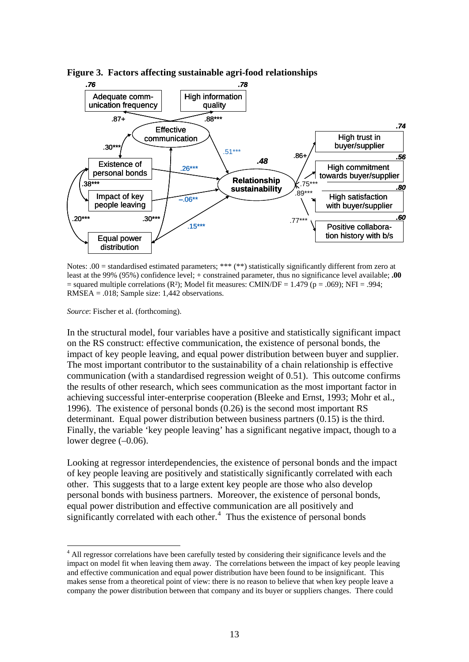

**Figure 3. Factors affecting sustainable agri-food relationships** 

Notes: .00 = standardised estimated parameters; \*\*\* (\*\*) statistically significantly different from zero at least at the 99% (95%) confidence level; + constrained parameter, thus no significance level available; **.00**  $=$  squared multiple correlations (R<sup>2</sup>); Model fit measures: CMIN/DF  $=$  1.479 (p  $=$  .069); NFI  $=$  .994; RMSEA = .018; Sample size: 1,442 observations.

*Source*: Fischer et al. (forthcoming).

1

In the structural model, four variables have a positive and statistically significant impact on the RS construct: effective communication, the existence of personal bonds, the impact of key people leaving, and equal power distribution between buyer and supplier. The most important contributor to the sustainability of a chain relationship is effective communication (with a standardised regression weight of 0.51). This outcome confirms the results of other research, which sees communication as the most important factor in achieving successful inter-enterprise cooperation (Bleeke and Ernst, 1993; Mohr et al., 1996). The existence of personal bonds (0.26) is the second most important RS determinant. Equal power distribution between business partners (0.15) is the third. Finally, the variable 'key people leaving' has a significant negative impact, though to a lower degree  $(-0.06)$ .

Looking at regressor interdependencies, the existence of personal bonds and the impact of key people leaving are positively and statistically significantly correlated with each other. This suggests that to a large extent key people are those who also develop personal bonds with business partners. Moreover, the existence of personal bonds, equal power distribution and effective communication are all positively and significantly correlated with each other. $4$  Thus the existence of personal bonds

<span id="page-13-0"></span><sup>&</sup>lt;sup>4</sup> All regressor correlations have been carefully tested by considering their significance levels and the impact on model fit when leaving them away. The correlations between the impact of key people leaving and effective communication and equal power distribution have been found to be insignificant. This makes sense from a theoretical point of view: there is no reason to believe that when key people leave a company the power distribution between that company and its buyer or suppliers changes. There could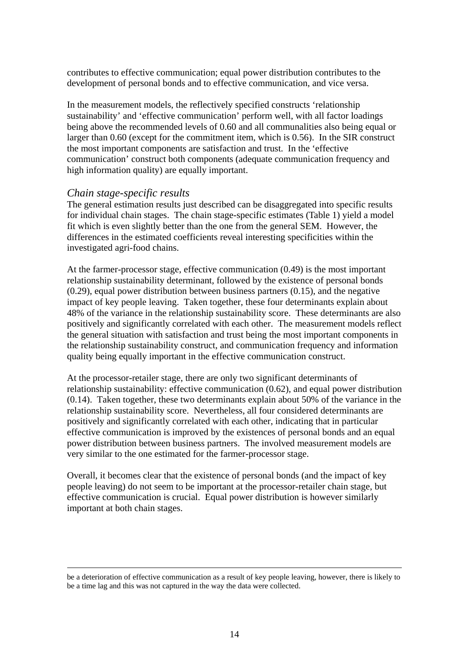contributes to effective communication; equal power distribution contributes to the development of personal bonds and to effective communication, and vice versa.

In the measurement models, the reflectively specified constructs 'relationship sustainability' and 'effective communication' perform well, with all factor loadings being above the recommended levels of 0.60 and all communalities also being equal or larger than 0.60 (except for the commitment item, which is 0.56). In the SIR construct the most important components are satisfaction and trust. In the 'effective communication' construct both components (adequate communication frequency and high information quality) are equally important.

### *Chain stage-specific results*

The general estimation results just described can be disaggregated into specific results for individual chain stages. The chain stage-specific estimates [\(Table 1\)](#page-15-0) yield a model fit which is even slightly better than the one from the general SEM. However, the differences in the estimated coefficients reveal interesting specificities within the investigated agri-food chains.

At the farmer-processor stage, effective communication (0.49) is the most important relationship sustainability determinant, followed by the existence of personal bonds (0.29), equal power distribution between business partners (0.15), and the negative impact of key people leaving. Taken together, these four determinants explain about 48% of the variance in the relationship sustainability score. These determinants are also positively and significantly correlated with each other. The measurement models reflect the general situation with satisfaction and trust being the most important components in the relationship sustainability construct, and communication frequency and information quality being equally important in the effective communication construct.

At the processor-retailer stage, there are only two significant determinants of relationship sustainability: effective communication (0.62), and equal power distribution (0.14). Taken together, these two determinants explain about 50% of the variance in the relationship sustainability score. Nevertheless, all four considered determinants are positively and significantly correlated with each other, indicating that in particular effective communication is improved by the existences of personal bonds and an equal power distribution between business partners. The involved measurement models are very similar to the one estimated for the farmer-processor stage.

Overall, it becomes clear that the existence of personal bonds (and the impact of key people leaving) do not seem to be important at the processor-retailer chain stage, but effective communication is crucial. Equal power distribution is however similarly important at both chain stages.

be a deterioration of effective communication as a result of key people leaving, however, there is likely to be a time lag and this was not captured in the way the data were collected.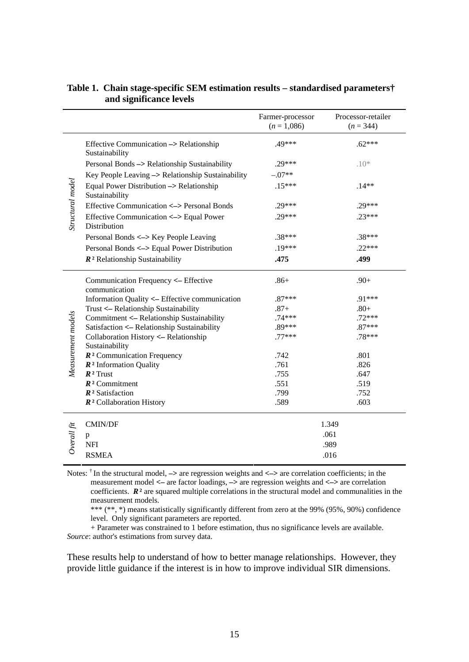|                    |                                                            | Farmer-processor<br>$(n=1,086)$ | Processor-retailer<br>$(n = 344)$ |
|--------------------|------------------------------------------------------------|---------------------------------|-----------------------------------|
| Structural model   | Effective Communication -> Relationship<br>Sustainability  | .49***                          | $.62***$                          |
|                    | Personal Bonds -> Relationship Sustainability              | $.29***$                        | $.10*$                            |
|                    | Key People Leaving -> Relationship Sustainability          | $-.07**$                        |                                   |
|                    | Equal Power Distribution -> Relationship<br>Sustainability | $.15***$                        | $.14**$                           |
|                    | Effective Communication <-> Personal Bonds                 | $.29***$                        | $.29***$                          |
|                    | Effective Communication <-> Equal Power<br>Distribution    | $29***$                         | $.23***$                          |
|                    | Personal Bonds <-> Key People Leaving                      | $.38***$                        | $.38***$                          |
|                    | Personal Bonds <-> Equal Power Distribution                | $.19***$                        | $.22***$                          |
|                    | $\mathbb{R}^2$ Relationship Sustainability                 | .475                            | .499                              |
| Measurement models | Communication Frequency <- Effective<br>communication      | $.86+$                          | $.90+$                            |
|                    | Information Quality <- Effective communication             | $.87***$                        | .91***                            |
|                    | Trust <- Relationship Sustainability                       | $.87+$                          | $.80+$                            |
|                    | Commitment <- Relationship Sustainability                  | $.74***$                        | $.72***$                          |
|                    | Satisfaction <- Relationship Sustainability                | .89***                          | $.87***$                          |
|                    | Collaboration History <- Relationship<br>Sustainability    | $.77***$                        | $.78***$                          |
|                    | $R2$ Communication Frequency                               | .742                            | .801                              |
|                    | $\mathbb{R}^2$ Information Quality                         | .761                            | .826                              |
|                    | $R^2$ Trust                                                | .755                            | .647                              |
|                    | $R2$ Commitment                                            | .551                            | .519                              |
|                    | $\mathbb{R}^2$ Satisfaction                                | .799                            | .752                              |
|                    | $R2$ Collaboration History                                 | .589                            | .603                              |
| Overall fit        | <b>CMIN/DF</b>                                             | 1.349                           |                                   |
|                    | p                                                          | .061                            |                                   |
|                    | <b>NFI</b>                                                 | .989                            |                                   |
|                    | <b>RSMEA</b>                                               | .016                            |                                   |

#### <span id="page-15-0"></span>**Table 1. Chain stage-specific SEM estimation results – standardised parameters† and significance levels**

Notes: † In the structural model, **–>** are regression weights and **<–>** are correlation coefficients; in the measurement model **<–** are factor loadings, **–>** are regression weights and **<–>** are correlation coefficients. *R***²** are squared multiple correlations in the structural model and communalities in the measurement models.

\*\*\* (\*\*, \*) means statistically significantly different from zero at the 99% (95%, 90%) confidence level. Only significant parameters are reported.

+ Parameter was constrained to 1 before estimation, thus no significance levels are available. *Source*: author's estimations from survey data.

These results help to understand of how to better manage relationships. However, they provide little guidance if the interest is in how to improve individual SIR dimensions.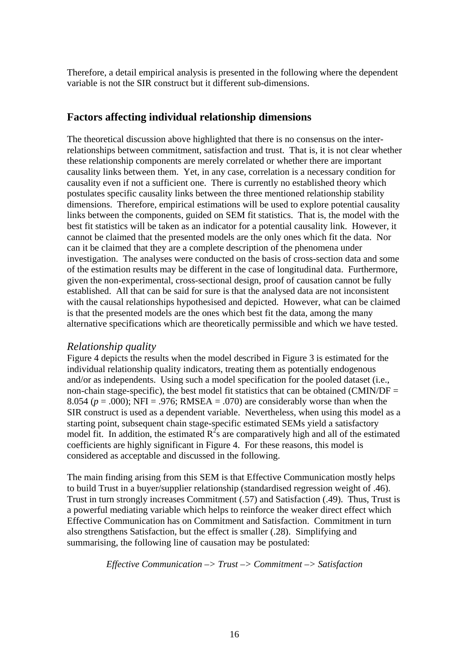Therefore, a detail empirical analysis is presented in the following where the dependent variable is not the SIR construct but it different sub-dimensions.

### **Factors affecting individual relationship dimensions**

The theoretical discussion above highlighted that there is no consensus on the interrelationships between commitment, satisfaction and trust. That is, it is not clear whether these relationship components are merely correlated or whether there are important causality links between them. Yet, in any case, correlation is a necessary condition for causality even if not a sufficient one. There is currently no established theory which postulates specific causality links between the three mentioned relationship stability dimensions. Therefore, empirical estimations will be used to explore potential causality links between the components, guided on SEM fit statistics. That is, the model with the best fit statistics will be taken as an indicator for a potential causality link. However, it cannot be claimed that the presented models are the only ones which fit the data. Nor can it be claimed that they are a complete description of the phenomena under investigation. The analyses were conducted on the basis of cross-section data and some of the estimation results may be different in the case of longitudinal data. Furthermore, given the non-experimental, cross-sectional design, proof of causation cannot be fully established. All that can be said for sure is that the analysed data are not inconsistent with the causal relationships hypothesised and depicted. However, what can be claimed is that the presented models are the ones which best fit the data, among the many alternative specifications which are theoretically permissible and which we have tested.

### *Relationship quality*

Figure 4 depicts the results when the model described in Figure 3 is estimated for the individual relationship quality indicators, treating them as potentially endogenous and/or as independents. Using such a model specification for the pooled dataset (i.e., non-chain stage-specific), the best model fit statistics that can be obtained (CMIN/DF  $=$ 8.054 ( $p = .000$ ); NFI = .976; RMSEA = .070) are considerably worse than when the SIR construct is used as a dependent variable. Nevertheless, when using this model as a starting point, subsequent chain stage-specific estimated SEMs yield a satisfactory model fit. In addition, the estimated  $R^2$ s are comparatively high and all of the estimated coefficients are highly significant in Figure 4. For these reasons, this model is considered as acceptable and discussed in the following.

The main finding arising from this SEM is that Effective Communication mostly helps to build Trust in a buyer/supplier relationship (standardised regression weight of .46). Trust in turn strongly increases Commitment (.57) and Satisfaction (.49). Thus, Trust is a powerful mediating variable which helps to reinforce the weaker direct effect which Effective Communication has on Commitment and Satisfaction. Commitment in turn also strengthens Satisfaction, but the effect is smaller (.28). Simplifying and summarising, the following line of causation may be postulated:

#### *Effective Communication –> Trust –> Commitment –> Satisfaction*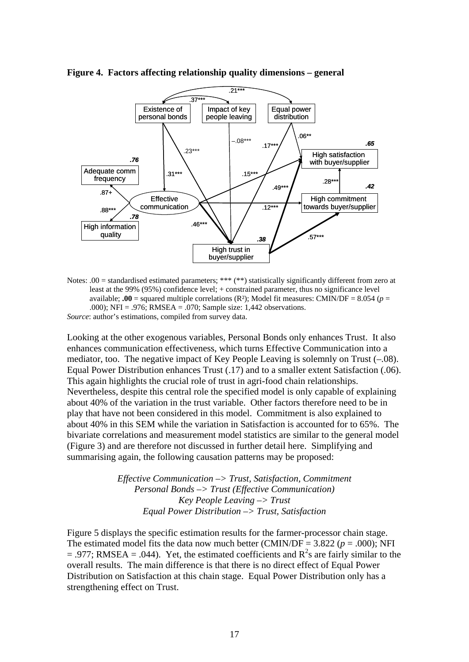

**Figure 4. Factors affecting relationship quality dimensions – general** 

Notes: .00 = standardised estimated parameters; \*\*\* (\*\*) statistically significantly different from zero at least at the 99% (95%) confidence level; + constrained parameter, thus no significance level available; **.00** = squared multiple correlations ( $\mathbb{R}^2$ ); Model fit measures: CMIN/DF = 8.054 ( $p =$ .000); NFI = .976; RMSEA = .070; Sample size: 1,442 observations. *Source*: author's estimations, compiled from survey data.

Looking at the other exogenous variables, Personal Bonds only enhances Trust. It also enhances communication effectiveness, which turns Effective Communication into a mediator, too. The negative impact of Key People Leaving is solemnly on Trust (–.08). Equal Power Distribution enhances Trust (.17) and to a smaller extent Satisfaction (.06). This again highlights the crucial role of trust in agri-food chain relationships. Nevertheless, despite this central role the specified model is only capable of explaining about 40% of the variation in the trust variable. Other factors therefore need to be in play that have not been considered in this model. Commitment is also explained to about 40% in this SEM while the variation in Satisfaction is accounted for to 65%. The bivariate correlations and measurement model statistics are similar to the general model (Figure 3) and are therefore not discussed in further detail here. Simplifying and summarising again, the following causation patterns may be proposed:

> *Effective Communication –> Trust, Satisfaction, Commitment Personal Bonds –> Trust (Effective Communication) Key People Leaving –> Trust Equal Power Distribution –> Trust, Satisfaction*

[Figure 5](#page-18-0) displays the specific estimation results for the farmer-processor chain stage. The estimated model fits the data now much better (CMIN/DF =  $3.822$  ( $p = .000$ ); NFI  $= .977$ ; RMSEA = .044). Yet, the estimated coefficients and  $R^2$ s are fairly similar to the overall results. The main difference is that there is no direct effect of Equal Power Distribution on Satisfaction at this chain stage. Equal Power Distribution only has a strengthening effect on Trust.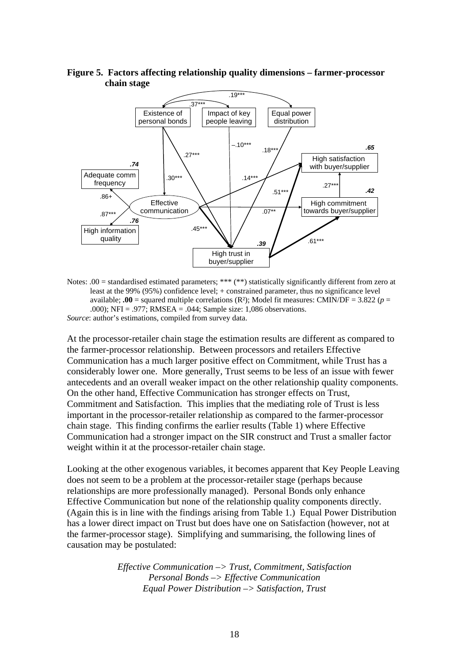

<span id="page-18-0"></span>**Figure 5. Factors affecting relationship quality dimensions – farmer-processor chain stage** 

Notes:  $.00 =$  standardised estimated parameters; \*\*\* (\*\*) statistically significantly different from zero at least at the 99% (95%) confidence level; + constrained parameter, thus no significance level available:  $.00$  = squared multiple correlations (R<sup>2</sup>): Model fit measures: CMIN/DF = 3.822 ( $p =$ .000); NFI = .977; RMSEA = .044; Sample size: 1,086 observations. *Source*: author's estimations, compiled from survey data.

At the processor-retailer chain stage the estimation results are different as compared to the farmer-processor relationship. Between processors and retailers Effective Communication has a much larger positive effect on Commitment, while Trust has a considerably lower one. More generally, Trust seems to be less of an issue with fewer antecedents and an overall weaker impact on the other relationship quality components. On the other hand, Effective Communication has stronger effects on Trust, Commitment and Satisfaction. This implies that the mediating role of Trust is less important in the processor-retailer relationship as compared to the farmer-processor chain stage. This finding confirms the earlier results ([Table 1](#page-15-0)) where Effective Communication had a stronger impact on the SIR construct and Trust a smaller factor weight within it at the processor-retailer chain stage.

Looking at the other exogenous variables, it becomes apparent that Key People Leaving does not seem to be a problem at the processor-retailer stage (perhaps because relationships are more professionally managed). Personal Bonds only enhance Effective Communication but none of the relationship quality components directly. (Again this is in line with the findings arising from [Table 1.](#page-15-0)) Equal Power Distribution has a lower direct impact on Trust but does have one on Satisfaction (however, not at the farmer-processor stage). Simplifying and summarising, the following lines of causation may be postulated:

> *Effective Communication –> Trust, Commitment, Satisfaction Personal Bonds –> Effective Communication Equal Power Distribution –> Satisfaction, Trust*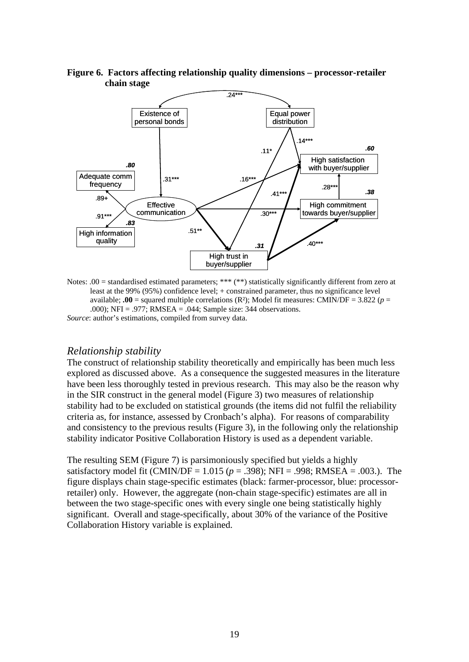

**Figure 6. Factors affecting relationship quality dimensions – processor-retailer chain stage** 

Notes: .00 = standardised estimated parameters; \*\*\* (\*\*) statistically significantly different from zero at least at the 99% (95%) confidence level; + constrained parameter, thus no significance level available; **.00** = squared multiple correlations ( $\mathbb{R}^2$ ); Model fit measures: CMIN/DF = 3.822 ( $p =$ .000); NFI = .977; RMSEA = .044; Sample size: 344 observations. *Source*: author's estimations, compiled from survey data.

### *Relationship stability*

The construct of relationship stability theoretically and empirically has been much less explored as discussed above. As a consequence the suggested measures in the literature have been less thoroughly tested in previous research. This may also be the reason why in the SIR construct in the general model (Figure 3) two measures of relationship stability had to be excluded on statistical grounds (the items did not fulfil the reliability criteria as, for instance, assessed by Cronbach's alpha). For reasons of comparability and consistency to the previous results (Figure 3), in the following only the relationship stability indicator Positive Collaboration History is used as a dependent variable.

The resulting SEM (Figure 7) is parsimoniously specified but yields a highly satisfactory model fit (CMIN/DF =  $1.015$  ( $p = .398$ ); NFI = .998; RMSEA = .003.). The figure displays chain stage-specific estimates (black: farmer-processor, blue: processorretailer) only. However, the aggregate (non-chain stage-specific) estimates are all in between the two stage-specific ones with every single one being statistically highly significant. Overall and stage-specifically, about 30% of the variance of the Positive Collaboration History variable is explained.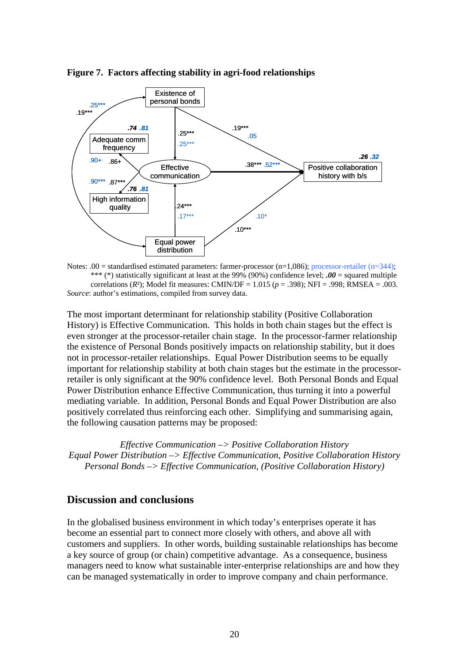



Notes: .00 = standardised estimated parameters: farmer-processor  $(n=1,086)$ ; processor-retailer  $(n=344)$ ; \*\*\* (\*) statistically significant at least at the 99% (90%) confidence level; *.00* = squared multiple correlations (*R*²); Model fit measures: CMIN/DF = 1.015 (*p* = .398); NFI = .998; RMSEA = .003. *Source*: author's estimations, compiled from survey data.

The most important determinant for relationship stability (Positive Collaboration History) is Effective Communication. This holds in both chain stages but the effect is even stronger at the processor-retailer chain stage. In the processor-farmer relationship the existence of Personal Bonds positively impacts on relationship stability, but it does not in processor-retailer relationships. Equal Power Distribution seems to be equally important for relationship stability at both chain stages but the estimate in the processorretailer is only significant at the 90% confidence level. Both Personal Bonds and Equal Power Distribution enhance Effective Communication, thus turning it into a powerful mediating variable. In addition, Personal Bonds and Equal Power Distribution are also positively correlated thus reinforcing each other. Simplifying and summarising again, the following causation patterns may be proposed:

*Effective Communication –> Positive Collaboration History Equal Power Distribution –> Effective Communication, Positive Collaboration History Personal Bonds –> Effective Communication, (Positive Collaboration History)* 

### **Discussion and conclusions**

In the globalised business environment in which today's enterprises operate it has become an essential part to connect more closely with others, and above all with customers and suppliers. In other words, building sustainable relationships has become a key source of group (or chain) competitive advantage. As a consequence, business managers need to know what sustainable inter-enterprise relationships are and how they can be managed systematically in order to improve company and chain performance.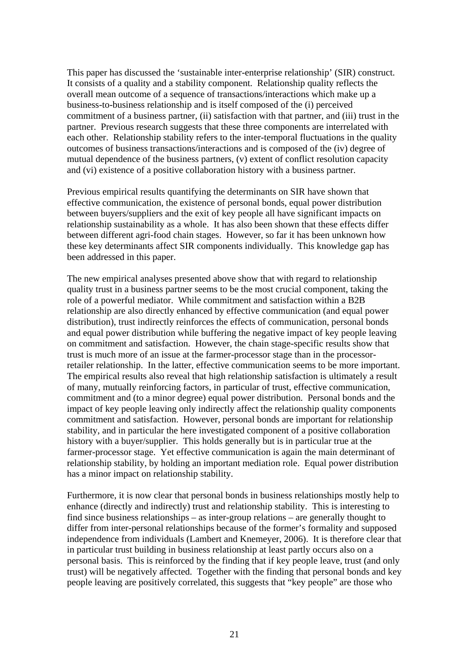This paper has discussed the 'sustainable inter-enterprise relationship' (SIR) construct. It consists of a quality and a stability component. Relationship quality reflects the overall mean outcome of a sequence of transactions/interactions which make up a business-to-business relationship and is itself composed of the (i) perceived commitment of a business partner, (ii) satisfaction with that partner, and (iii) trust in the partner. Previous research suggests that these three components are interrelated with each other. Relationship stability refers to the inter-temporal fluctuations in the quality outcomes of business transactions/interactions and is composed of the (iv) degree of mutual dependence of the business partners, (v) extent of conflict resolution capacity and (vi) existence of a positive collaboration history with a business partner.

Previous empirical results quantifying the determinants on SIR have shown that effective communication, the existence of personal bonds, equal power distribution between buyers/suppliers and the exit of key people all have significant impacts on relationship sustainability as a whole. It has also been shown that these effects differ between different agri-food chain stages. However, so far it has been unknown how these key determinants affect SIR components individually. This knowledge gap has been addressed in this paper.

The new empirical analyses presented above show that with regard to relationship quality trust in a business partner seems to be the most crucial component, taking the role of a powerful mediator. While commitment and satisfaction within a B2B relationship are also directly enhanced by effective communication (and equal power distribution), trust indirectly reinforces the effects of communication, personal bonds and equal power distribution while buffering the negative impact of key people leaving on commitment and satisfaction. However, the chain stage-specific results show that trust is much more of an issue at the farmer-processor stage than in the processorretailer relationship. In the latter, effective communication seems to be more important. The empirical results also reveal that high relationship satisfaction is ultimately a result of many, mutually reinforcing factors, in particular of trust, effective communication, commitment and (to a minor degree) equal power distribution. Personal bonds and the impact of key people leaving only indirectly affect the relationship quality components commitment and satisfaction. However, personal bonds are important for relationship stability, and in particular the here investigated component of a positive collaboration history with a buyer/supplier. This holds generally but is in particular true at the farmer-processor stage. Yet effective communication is again the main determinant of relationship stability, by holding an important mediation role. Equal power distribution has a minor impact on relationship stability.

Furthermore, it is now clear that personal bonds in business relationships mostly help to enhance (directly and indirectly) trust and relationship stability. This is interesting to find since business relationships – as inter-group relations – are generally thought to differ from inter-personal relationships because of the former's formality and supposed independence from individuals (Lambert and Knemeyer, 2006). It is therefore clear that in particular trust building in business relationship at least partly occurs also on a personal basis. This is reinforced by the finding that if key people leave, trust (and only trust) will be negatively affected. Together with the finding that personal bonds and key people leaving are positively correlated, this suggests that "key people" are those who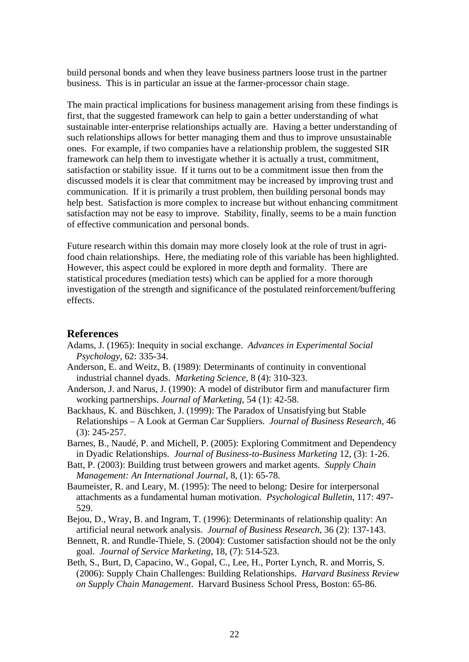build personal bonds and when they leave business partners loose trust in the partner business. This is in particular an issue at the farmer-processor chain stage.

The main practical implications for business management arising from these findings is first, that the suggested framework can help to gain a better understanding of what sustainable inter-enterprise relationships actually are. Having a better understanding of such relationships allows for better managing them and thus to improve unsustainable ones. For example, if two companies have a relationship problem, the suggested SIR framework can help them to investigate whether it is actually a trust, commitment, satisfaction or stability issue. If it turns out to be a commitment issue then from the discussed models it is clear that commitment may be increased by improving trust and communication. If it is primarily a trust problem, then building personal bonds may help best. Satisfaction is more complex to increase but without enhancing commitment satisfaction may not be easy to improve. Stability, finally, seems to be a main function of effective communication and personal bonds.

Future research within this domain may more closely look at the role of trust in agrifood chain relationships. Here, the mediating role of this variable has been highlighted. However, this aspect could be explored in more depth and formality. There are statistical procedures (mediation tests) which can be applied for a more thorough investigation of the strength and significance of the postulated reinforcement/buffering effects.

### **References**

- Adams, J. (1965): Inequity in social exchange. *Advances in Experimental Social Psychology*, 62: 335-34.
- Anderson, E. and Weitz, B. (1989): Determinants of continuity in conventional industrial channel dyads. *Marketing Science*, 8 (4): 310-323.
- Anderson, J. and Narus, J. (1990): A model of distributor firm and manufacturer firm working partnerships. *Journal of Marketing*, 54 (1): 42-58.
- Backhaus, K. and Büschken, J. (1999): The Paradox of Unsatisfying but Stable Relationships – A Look at German Car Suppliers. *Journal of Business Research*, 46 (3): 245-257.
- Barnes, B., Naudé, P. and Michell, P. (2005): Exploring Commitment and Dependency in Dyadic Relationships. *Journal of Business-to-Business Marketing* 12, (3): 1-26.
- Batt, P. (2003): Building trust between growers and market agents. *Supply Chain Management: An International Journal*, 8, (1): 65-78.
- Baumeister, R. and Leary, M. (1995): The need to belong: Desire for interpersonal attachments as a fundamental human motivation. *Psychological Bulletin*, 117: 497- 529.
- Bejou, D., Wray, B. and Ingram, T. (1996): Determinants of relationship quality: An artificial neural network analysis. *Journal of Business Research*, 36 (2): 137-143.
- Bennett, R. and Rundle-Thiele, S. (2004): Customer satisfaction should not be the only goal. *Journal of Service Marketing*, 18, (7): 514-523.
- Beth, S., Burt, D, Capacino, W., Gopal, C., Lee, H., Porter Lynch, R. and Morris, S. (2006): Supply Chain Challenges: Building Relationships. *Harvard Business Review on Supply Chain Management*. Harvard Business School Press, Boston: 65-86.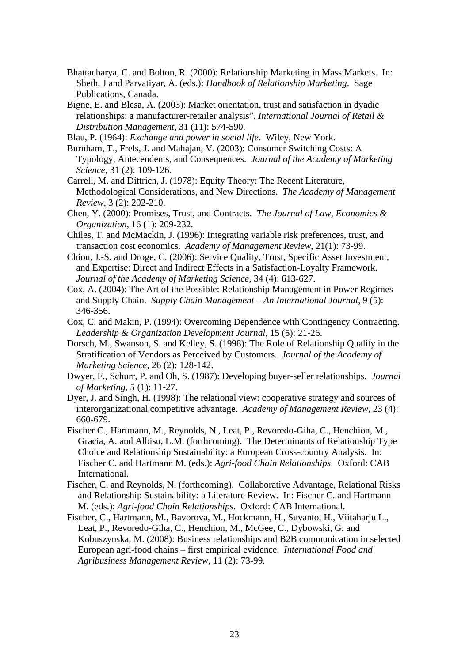- Bhattacharya, C. and Bolton, R. (2000): Relationship Marketing in Mass Markets. In: Sheth, J and Parvatiyar, A. (eds.): *Handbook of Relationship Marketing*. Sage Publications, Canada.
- Bigne, E. and Blesa, A. (2003): Market orientation, trust and satisfaction in dyadic relationships: a manufacturer-retailer analysis", *International Journal of Retail & Distribution Management*, 31 (11): 574-590.
- Blau, P. (1964): *Exchange and power in social life*. Wiley, New York.
- Burnham, T., Frels, J. and Mahajan, V. (2003): Consumer Switching Costs: A Typology, Antecendents, and Consequences. *Journal of the Academy of Marketing Science*, 31 (2): 109-126.
- Carrell, M. and Dittrich, J. (1978): Equity Theory: The Recent Literature, Methodological Considerations, and New Directions. *The Academy of Management Review*, 3 (2): 202-210.
- Chen, Y. (2000): Promises, Trust, and Contracts. *The Journal of Law, Economics & Organization*, 16 (1): 209-232.
- Chiles, T. and McMackin, J. (1996): Integrating variable risk preferences, trust, and transaction cost economics. *Academy of Management Review*, 21(1): 73-99.
- Chiou, J.-S. and Droge, C. (2006): Service Quality, Trust, Specific Asset Investment, and Expertise: Direct and Indirect Effects in a Satisfaction-Loyalty Framework. *Journal of the Academy of Marketing Science*, 34 (4): 613-627.
- Cox, A. (2004): The Art of the Possible: Relationship Management in Power Regimes and Supply Chain. *Supply Chain Management – An International Journal*, 9 (5): 346-356.
- Cox, C. and Makin, P. (1994): Overcoming Dependence with Contingency Contracting. *Leadership & Organization Development Journal*, 15 (5): 21-26.
- Dorsch, M., Swanson, S. and Kelley, S. (1998): The Role of Relationship Quality in the Stratification of Vendors as Perceived by Customers. *Journal of the Academy of Marketing Science*, 26 (2): 128-142.
- Dwyer, F., Schurr, P. and Oh, S. (1987): Developing buyer-seller relationships. *Journal of Marketing*, 5 (1): 11-27.
- Dyer, J. and Singh, H. (1998): The relational view: cooperative strategy and sources of interorganizational competitive advantage. *Academy of Management Review*, 23 (4): 660-679.
- Fischer C., Hartmann, M., Reynolds, N., Leat, P., Revoredo-Giha, C., Henchion, M., Gracia, A. and Albisu, L.M. (forthcoming). The Determinants of Relationship Type Choice and Relationship Sustainability: a European Cross-country Analysis. In: Fischer C. and Hartmann M. (eds.): *Agri-food Chain Relationships*. Oxford: CAB International.
- Fischer, C. and Reynolds, N. (forthcoming). Collaborative Advantage, Relational Risks and Relationship Sustainability: a Literature Review. In: Fischer C. and Hartmann M. (eds.): *Agri-food Chain Relationships*. Oxford: CAB International.
- Fischer, C., Hartmann, M., Bavorova, M., Hockmann, H., Suvanto, H., Viitaharju L., Leat, P., Revoredo-Giha, C., Henchion, M., McGee, C., Dybowski, G. and Kobuszynska, M. (2008): Business relationships and B2B communication in selected European agri-food chains – first empirical evidence. *International Food and Agribusiness Management Review*, 11 (2): 73-99.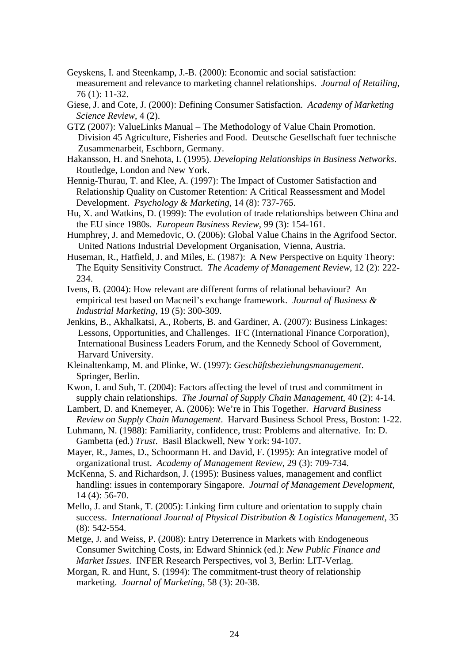- Geyskens, I. and Steenkamp, J.-B. (2000): Economic and social satisfaction: measurement and relevance to marketing channel relationships. *Journal of Retailing*, 76 (1): 11-32.
- Giese, J. and Cote, J. (2000): Defining Consumer Satisfaction. *Academy of Marketing Science Review*, 4 (2).
- GTZ (2007): ValueLinks Manual The Methodology of Value Chain Promotion. Division 45 Agriculture, Fisheries and Food. Deutsche Gesellschaft fuer technische Zusammenarbeit, Eschborn, Germany.
- Hakansson, H. and Snehota, I. (1995). *Developing Relationships in Business Networks*. Routledge, London and New York.
- Hennig-Thurau, T. and Klee, A. (1997): The Impact of Customer Satisfaction and Relationship Quality on Customer Retention: A Critical Reassessment and Model Development. *Psychology & Marketing*, 14 (8): 737-765.
- Hu, X. and Watkins, D. (1999): The evolution of trade relationships between China and the EU since 1980s. *European Business Review*, 99 (3): 154-161.
- Humphrey, J. and Memedovic, O. (2006): Global Value Chains in the Agrifood Sector. United Nations Industrial Development Organisation, Vienna, Austria.
- Huseman, R., Hatfield, J. and Miles, E. (1987): A New Perspective on Equity Theory: The Equity Sensitivity Construct. *The Academy of Management Review*, 12 (2): 222- 234.
- Ivens, B. (2004): How relevant are different forms of relational behaviour? An empirical test based on Macneil's exchange framework. *Journal of Business & Industrial Marketing*, 19 (5): 300-309.
- Jenkins, B., Akhalkatsi, A., Roberts, B. and Gardiner, A. (2007): Business Linkages: Lessons, Opportunities, and Challenges. IFC (International Finance Corporation), International Business Leaders Forum, and the Kennedy School of Government, Harvard University.
- Kleinaltenkamp, M. and Plinke, W. (1997): *Geschäftsbeziehungsmanagement*. Springer, Berlin.
- Kwon, I. and Suh, T. (2004): Factors affecting the level of trust and commitment in supply chain relationships. *The Journal of Supply Chain Management*, 40 (2): 4-14.
- Lambert, D. and Knemeyer, A. (2006): We're in This Together. *Harvard Business Review on Supply Chain Management*. Harvard Business School Press, Boston: 1-22.
- Luhmann, N. (1988): Familiarity, confidence, trust: Problems and alternative. In: D. Gambetta (ed.) *Trust*. Basil Blackwell, New York: 94-107.
- Mayer, R., James, D., Schoormann H. and David, F. (1995): An integrative model of organizational trust. *Academy of Management Review*, 29 (3): 709-734.
- McKenna, S. and Richardson, J. (1995): Business values, management and conflict handling: issues in contemporary Singapore. *Journal of Management Development*, 14 (4): 56-70.
- Mello, J. and Stank, T. (2005): Linking firm culture and orientation to supply chain success. *International Journal of Physical Distribution & Logistics Management*, 35 (8): 542-554.
- Metge, J. and Weiss, P. (2008): Entry Deterrence in Markets with Endogeneous Consumer Switching Costs, in: Edward Shinnick (ed.): *New Public Finance and Market Issues*. INFER Research Perspectives, vol 3, Berlin: LIT-Verlag.
- Morgan, R. and Hunt, S. (1994): The commitment-trust theory of relationship marketing. *Journal of Marketing*, 58 (3): 20-38.